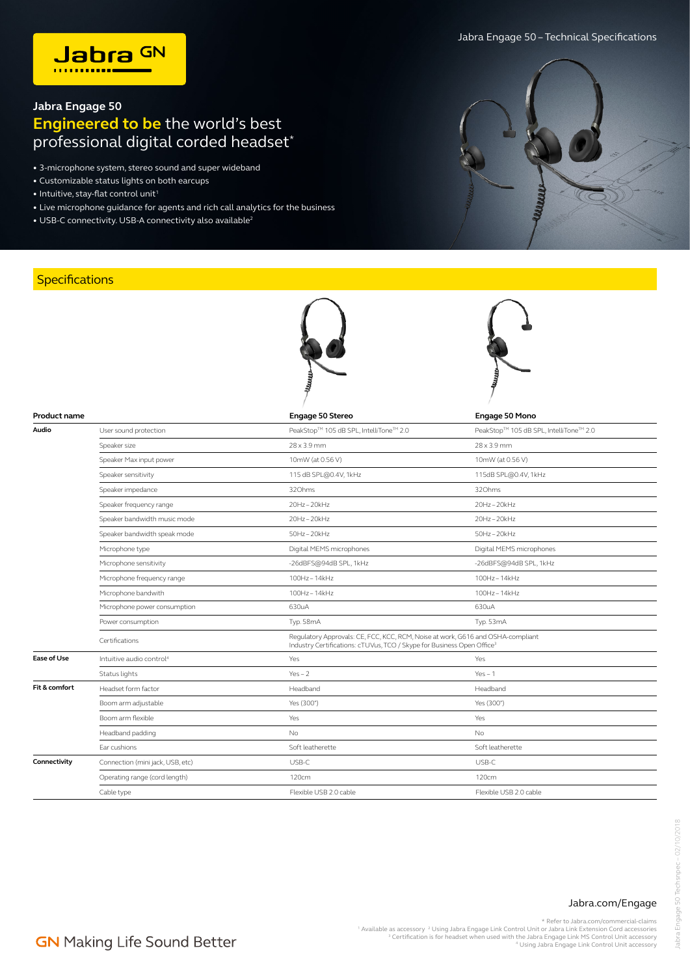## **Jabra Engage 50 Engineered to be** the world's best professional digital corded headset<sup>\*</sup>

- 3-microphone system, stereo sound and super wideband
- Customizable status lights on both earcups
- $\bullet$  Intuitive, stay-flat control unit<sup>1</sup>
- Live microphone guidance for agents and rich call analytics for the business

**Product name Engage 50 Stereo Engage 50 Mono**

**Audio** User sound protection PeakStop™ 105 dB SPL, IntelliTone<sup>TM</sup> 2.0 PeakStop™ 105 dB SPL, IntelliToneTM 2.0

Boom arm adjustable Yes (300°) Yes (300°) Boom arm flexible Yes Yes Headband padding No No

Operating range (cord length) 120cm 120cm 120cm 120cm 120cm 120cm 120cm

**Connectivity** Connection (mini jack, USB, etc) USB-C USB-C USB-C USB-C USB-C USB-C USB-C USB-C USB-C USB-C USB-C USB-C USB-C USB-C USB-C USB-C USB-C USB-C USB-C USB-C USB-C USB-C USB-C USB-C USB-C USB-C USB-C USB-C USB-C

Ear cushions Soft leatherette Soft leatherette

Cable type Flexible USB 2.0 cable Flexible USB 2.0 cable

• USB-C connectivity. USB-A connectivity also available<sup>2</sup>

## **Specifications**





## Jabra.com/Engage

\* Refer to Jabra.com/commercial-claims

Available as accessory <sup>2</sup> Using Jabra Engage Link Control Unit or Jabra Link Extension Cord accessories <sup>3</sup><br><sup>3</sup> Certification is for headset when used with the Jabra Engage Link MS Control Unit accessory<br><sup>3</sup> Using Jabra E

## **GN** Making Life Sound Better